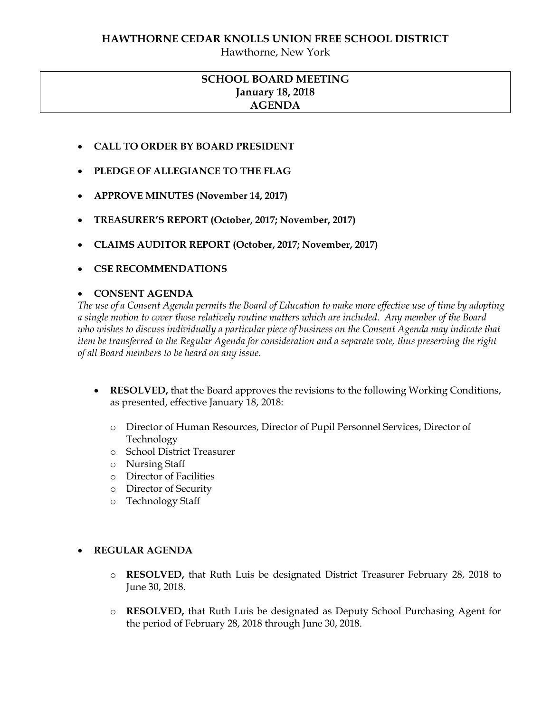### **HAWTHORNE CEDAR KNOLLS UNION FREE SCHOOL DISTRICT**

Hawthorne, New York

# **SCHOOL BOARD MEETING January 18, 2018 AGENDA**

- **CALL TO ORDER BY BOARD PRESIDENT**
- **PLEDGE OF ALLEGIANCE TO THE FLAG**
- **APPROVE MINUTES (November 14, 2017)**
- **TREASURER'S REPORT (October, 2017; November, 2017)**
- **CLAIMS AUDITOR REPORT (October, 2017; November, 2017)**
- **CSE RECOMMENDATIONS**

#### **CONSENT AGENDA**

*The use of a Consent Agenda permits the Board of Education to make more effective use of time by adopting a single motion to cover those relatively routine matters which are included. Any member of the Board who wishes to discuss individually a particular piece of business on the Consent Agenda may indicate that item be transferred to the Regular Agenda for consideration and a separate vote, thus preserving the right of all Board members to be heard on any issue.* 

- **RESOLVED,** that the Board approves the revisions to the following Working Conditions, as presented, effective January 18, 2018:
	- o Director of Human Resources, Director of Pupil Personnel Services, Director of Technology
	- o School District Treasurer
	- o Nursing Staff
	- o Director of Facilities
	- o Director of Security
	- o Technology Staff

#### **REGULAR AGENDA**

- o **RESOLVED,** that Ruth Luis be designated District Treasurer February 28, 2018 to June 30, 2018.
- o **RESOLVED,** that Ruth Luis be designated as Deputy School Purchasing Agent for the period of February 28, 2018 through June 30, 2018.